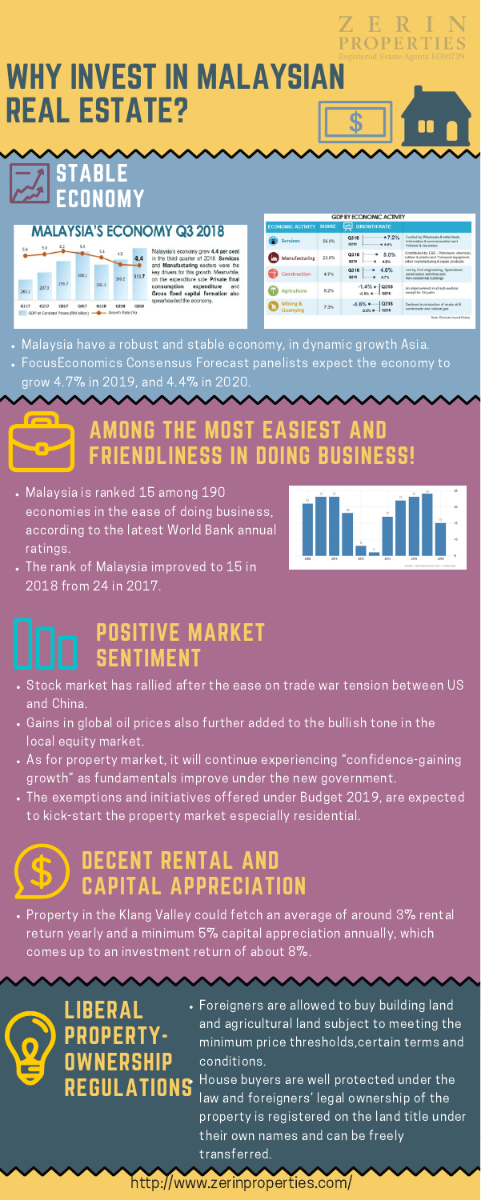

- Malaysia is ranked 15 among 190 economies in the ease of doing business, according to the latest World Bank annual ratings.
- The rank of Malaysia improved to 15 in 2018 from 24 in 2017.



- Malaysia have a robust and stable economy, in dynamic growth Asia.
- FocusEconomics Consensus Forecast panelists expect the economy to grow 4.7% in 2019, and 4.4% in 2020.

# AMONG THE MOST EASIEST AND FRIENDLINESS IN DOING BUSINESS!

# STABLE ECONOMY

**MALAYSIA'S ECONOMY Q3 2018** 



n

п

Malaysia's economy grew 4.4 per cent in the third quarter of 2018. Services and Manufacturing sectors were the key drivers for this growth. Meanwhile, on the expenditure side Private final consumption expenditure and Gross fixed capital formation also spearheaded the economy.

| <b>ECONOMIC ACTIVITY</b>     | <b>SHARE</b> | <b>GROWTH RATE</b><br>$\boldsymbol{\mathsf{w}}$ |                                                                                                                                 |
|------------------------------|--------------|-------------------------------------------------|---------------------------------------------------------------------------------------------------------------------------------|
| <b>Services</b>              | 56.0%        | •7.2%<br>Q318<br>Q218<br><b>@ 6.5%</b>          | Fuelled by Wholesale & retail trade.<br>Information & communication and<br>Finance & insurance                                  |
| Manufacturing                | 23.0%        | 5.0%<br>Q318<br>Q218<br>4.9%                    | Contributed by E&E , Petroleum, chemical,<br>rubber & plastic and Transport equipment.<br>other manufacturing & repair products |
| <b>Construction</b>          | 4.7%         | 4.6%<br>Q318<br>Q218<br>4.7%                    | Led by Civil engineering, Specialised<br>construction activities and<br>Non-residential buildings                               |
| <b>Agriculture</b>           | 8.2%         | $-1.4\%$ $\bullet$ Q318<br>Q218<br>$-2.5%$      | An improvement in all sub-sectors<br>except for Oil palm                                                                        |
| Mining &<br><b>Quarrying</b> | 7.3%         | Q318<br>$-4.6%$<br>Q218<br>$-2.2%$              | Declined in production of crude oil &<br>condensate and natural gas                                                             |
|                              |              |                                                 | Note: Exclude Import Duties                                                                                                     |



Foreigners are allowed to buy building land and agricultural land subject to meeting the minimum price thresholds,certain terms and conditions.

- Stock market has rallied after the ease on trade war tension between US and China.
- Gains in global oil prices also further added to the bullish tone in the local equity market.
- As for property market, it will continue experiencing "confidence-gaining growth" as fundamentals improve under the new government.
- The exemptions and initiatives offered under Budget 2019, are expected to kick-start the property market especially residential.

House buyers are well protected under the law and foreigners' legal ownership of the property is registered on the land title under their own names and can be freely transferred.

# POSITIVE MARKET SENTIMENT

<http://www.zerinproperties.com/>

#### DECENT RENTAL AND Œ 5 CAPITAL APPRECIATION

Property in the Klang Valley could fetch an average of around 3% rental return yearly and a minimum 5% capital appreciation annually, which comes up to an investment return of about 8%.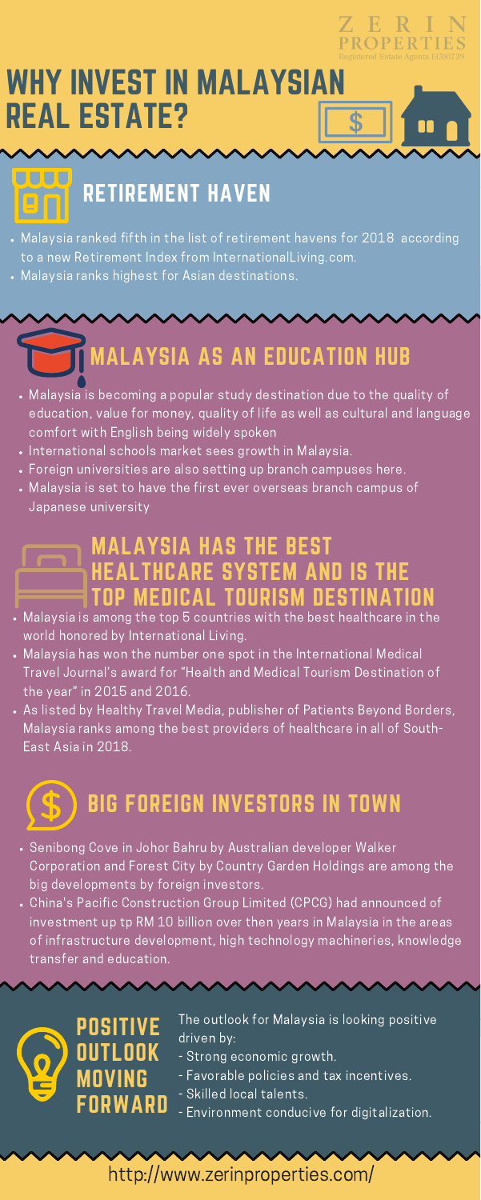

# WHY INVEST IN MALAYSIAN REAL ESTATE?

- Malaysia is becoming a popular study destination due to the quality of education, value for money, quality of life as well as cultural and language comfort with English being widely spoken
- . International schools market sees growth in Malaysia.
- Foreign universities are also setting up branch campuses here.
- Malaysia is set to have the first ever overseas branch campus of Japanese university

- Malaysia is among the top 5 countries with the best healthcare in the world honored by International Living.
- Malaysia has won the number one spot in the International Medical Travel Journal's award for "Health and Medical Tourism Destination of the year" in 2015 and 2016.
- . As listed by Healthy Travel Media, publisher of Patients Beyond Borders,
- Malaysia ranked fifth in the list of retirement havens for 2018 according to a new Retirement Index from InternationalLiving.com.
- Malaysia ranks highest for Asian destinations.

MALAYSIA AS AN EDUCATION HUB





The outlook for Malaysia is looking positive driven by:

- Strong economic growth.
- Favorable policies and tax incentives.
- Skilled local talents.
- Environment conducive for digitalization.

# MALAYSIA HAS THE BEST HEALTHCARE SYSTEM AND IS THE TOP MEDICAL TOURISM DESTINATION

Malaysia ranks among the best providers of healthcare in all of South-East Asia in 2018.

<http://www.zerinproperties.com/>



- Senibong Cove in Johor Bahru by Australian developer Walker Corporation and Forest City by Country Garden Holdings are among the big developments by foreign investors.
- China's Pacific Construction Group Limited (CPCG) had announced of investment up tp RM 10 billion over then years in Malaysia in the areas of infrastructure development, high technology machineries, knowledge transfer and education.